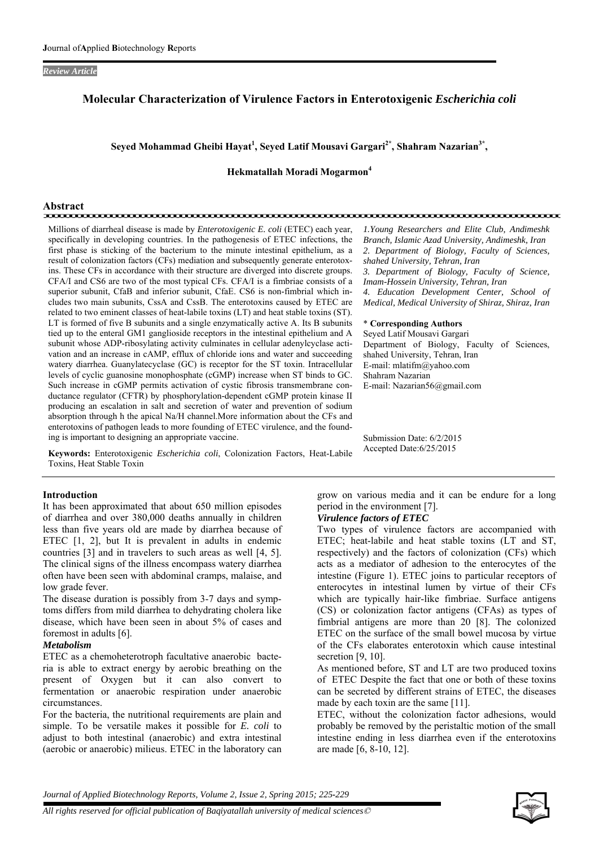#### *Review Article*

## **Molecular Characterization of Virulence Factors in Enterotoxigenic** *Escherichia coli*

## **Seyed Mohammad Gheibi Hayat<sup>1</sup> , Seyed Latif Mousavi Gargari2\*, Shahram Nazarian3\*,**

**Hekmatallah Moradi Mogarmon<sup>4</sup>**

# **Abstract**

Millions of diarrheal disease is made by *Enterotoxigenic E. coli* (ETEC) each year, specifically in developing countries. In the pathogenesis of ETEC infections, the first phase is sticking of the bacterium to the minute intestinal epithelium, as a result of colonization factors (CFs) mediation and subsequently generate enterotoxins. These CFs in accordance with their structure are diverged into discrete groups. CFA/I and CS6 are two of the most typical CFs. CFA/I is a fimbriae consists of a superior subunit, CfaB and inferior subunit, CfaE. CS6 is non-fimbrial which includes two main subunits, CssA and CssB. The enterotoxins caused by ETEC are related to two eminent classes of heat-labile toxins (LT) and heat stable toxins (ST). LT is formed of five B subunits and a single enzymatically active A. Its B subunits tied up to the enteral GM1 ganglioside receptors in the intestinal epithelium and A subunit whose ADP-ribosylating activity culminates in cellular adenylcyclase activation and an increase in cAMP, efflux of chloride ions and water and succeeding watery diarrhea. Guanylatecyclase (GC) is receptor for the ST toxin. Intracellular levels of cyclic guanosine monophosphate (cGMP) increase when ST binds to GC. Such increase in cGMP permits activation of cystic fibrosis transmembrane conductance regulator (CFTR) by phosphorylation-dependent cGMP protein kinase II producing an escalation in salt and secretion of water and prevention of sodium absorption through h the apical Na/H channel.More information about the CFs and enterotoxins of pathogen leads to more founding of ETEC virulence, and the founding is important to designing an appropriate vaccine.

**Keywords:** Enterotoxigenic *Escherichia coli*, Colonization Factors, Heat-Labile Toxins, Heat Stable Toxin

#### **Introduction**

It has been approximated that about 650 million episodes of diarrhea and over 380,000 deaths annually in children less than five years old are made by diarrhea because of ETEC [1, 2], but It is prevalent in adults in endemic countries [3] and in travelers to such areas as well [4, 5]. The clinical signs of the illness encompass watery diarrhea often have been seen with abdominal cramps, malaise, and low grade fever.

The disease duration is possibly from 3-7 days and symptoms differs from mild diarrhea to dehydrating cholera like disease, which have been seen in about 5% of cases and foremost in adults [6].

#### *Metabolism*

ETEC as a chemoheterotroph facultative anaerobic bacteria is able to extract energy by aerobic breathing on the present of Oxygen but it can also convert to fermentation or anaerobic respiration under anaerobic circumstances.

For the bacteria, the nutritional requirements are plain and simple. To be versatile makes it possible for *E. coli* to adjust to both intestinal (anaerobic) and extra intestinal (aerobic or anaerobic) milieus. ETEC in the laboratory can

*1.Young Researchers and Elite Club, Andimeshk Branch, Islamic Azad University, Andimeshk, Iran 2. Department of Biology, Faculty of Sciences, shahed University, Tehran, Iran 3. Department of Biology, Faculty of Science, Imam-Hossein University, Tehran, Iran 4. Education Development Center, School of Medical, Medical University of Shiraz, Shiraz, Iran* 

#### \* **Corresponding Authors**

Seyed Latif Mousavi Gargari Department of Biology, Faculty of Sciences, shahed University, Tehran, Iran E-mail: mlatifm@yahoo.com Shahram Nazarian E-mail: Nazarian56@gmail.com

Submission Date: 6/2/2015 Accepted Date:6/25/2015

grow on various media and it can be endure for a long period in the environment [7].

## *Virulence factors of ETEC*

Two types of virulence factors are accompanied with ETEC; heat-labile and heat stable toxins (LT and ST, respectively) and the factors of colonization (CFs) which acts as a mediator of adhesion to the enterocytes of the intestine (Figure 1). ETEC joins to particular receptors of enterocytes in intestinal lumen by virtue of their CFs which are typically hair-like fimbriae. Surface antigens (CS) or colonization factor antigens (CFAs) as types of fimbrial antigens are more than 20 [8]. The colonized ETEC on the surface of the small bowel mucosa by virtue of the CFs elaborates enterotoxin which cause intestinal secretion [9, 10].

As mentioned before, ST and LT are two produced toxins of ETEC Despite the fact that one or both of these toxins can be secreted by different strains of ETEC, the diseases made by each toxin are the same [11].

ETEC, without the colonization factor adhesions, would probably be removed by the peristaltic motion of the small intestine ending in less diarrhea even if the enterotoxins are made [6, 8-10, 12].

*Journal of Applied Biotechnology Reports, Volume 2, Issue 2, Spring 2015; 225-229*

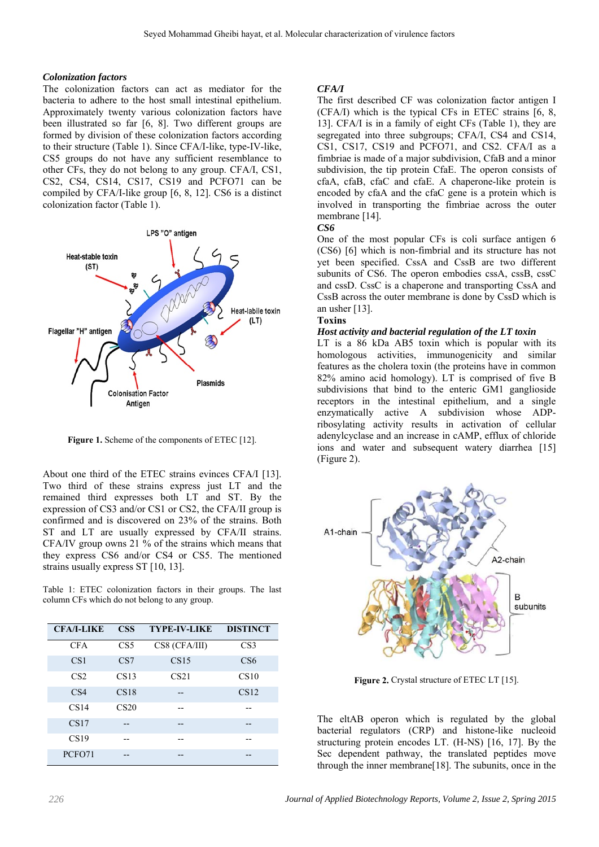#### *Colonization factors*

The colonization factors can act as mediator for the bacteria to adhere to the host small intestinal epithelium. Approximately twenty various colonization factors have been illustrated so far [6, 8]. Two different groups are formed by division of these colonization factors according to their structure (Table 1). Since CFA/I-like, type-IV-like, CS5 groups do not have any sufficient resemblance to other CFs, they do not belong to any group. CFA/I, CS1, CS2, CS4, CS14, CS17, CS19 and PCFO71 can be compiled by CFA/I-like group [6, 8, 12]. CS6 is a distinct colonization factor (Table 1).



Figure 1. Scheme of the components of ETEC [12].

About one third of the ETEC strains evinces CFA/I [13]. Two third of these strains express just LT and the remained third expresses both LT and ST. By the expression of CS3 and/or CS1 or CS2, the CFA/II group is confirmed and is discovered on 23% of the strains. Both ST and LT are usually expressed by CFA/II strains. CFA/IV group owns 21 % of the strains which means that they express CS6 and/or CS4 or CS5. The mentioned strains usually express ST [10, 13].

Table 1: ETEC colonization factors in their groups. The last column CFs which do not belong to any group.

| <b>CFA/I-LIKE</b> | <b>CSS</b>       | <b>TYPE-IV-LIKE</b> | <b>DISTINCT</b> |
|-------------------|------------------|---------------------|-----------------|
| <b>CFA</b>        | CS <sub>5</sub>  | CS8 (CFA/III)       | CS <sub>3</sub> |
| CS <sub>1</sub>   | CS7              | CS15                | CS <sub>6</sub> |
| CS <sub>2</sub>   | CS13             | CS <sub>21</sub>    | CS10            |
| CS <sub>4</sub>   | CS18             |                     | CS12            |
| CS14              | CS <sub>20</sub> |                     |                 |
| CS17              |                  |                     |                 |
| CS19              |                  |                     |                 |
| PCFO71            |                  |                     |                 |

## *CFA/I*

The first described CF was colonization factor antigen I (CFA/I) which is the typical CFs in ETEC strains [6, 8, 13]. CFA/I is in a family of eight CFs (Table 1), they are segregated into three subgroups; CFA/I, CS4 and CS14, CS1, CS17, CS19 and PCFO71, and CS2. CFA/I as a fimbriae is made of a major subdivision, CfaB and a minor subdivision, the tip protein CfaE. The operon consists of cfaA, cfaB, cfaC and cfaE. A chaperone-like protein is encoded by cfaA and the cfaC gene is a protein which is involved in transporting the fimbriae across the outer membrane [14].

#### *CS6*

One of the most popular CFs is coli surface antigen 6 (CS6) [6] which is non-fimbrial and its structure has not yet been specified. CssA and CssB are two different subunits of CS6. The operon embodies cssA, cssB, cssC and cssD. CssC is a chaperone and transporting CssA and CssB across the outer membrane is done by CssD which is an usher [13].

## **Toxins**

#### *Host activity and bacterial regulation of the LT toxin*

LT is a 86 kDa AB5 toxin which is popular with its homologous activities, immunogenicity and similar features as the cholera toxin (the proteins have in common 82% amino acid homology). LT is comprised of five B subdivisions that bind to the enteric GM1 ganglioside receptors in the intestinal epithelium, and a single enzymatically active A subdivision whose ADPribosylating activity results in activation of cellular adenylcyclase and an increase in cAMP, efflux of chloride ions and water and subsequent watery diarrhea [15] (Figure 2).



Figure 2. Crystal structure of ETEC LT [15].

The eltAB operon which is regulated by the global bacterial regulators (CRP) and histone-like nucleoid structuring protein encodes LT. (H-NS) [16, 17]. By the Sec dependent pathway, the translated peptides move through the inner membrane[18]. The subunits, once in the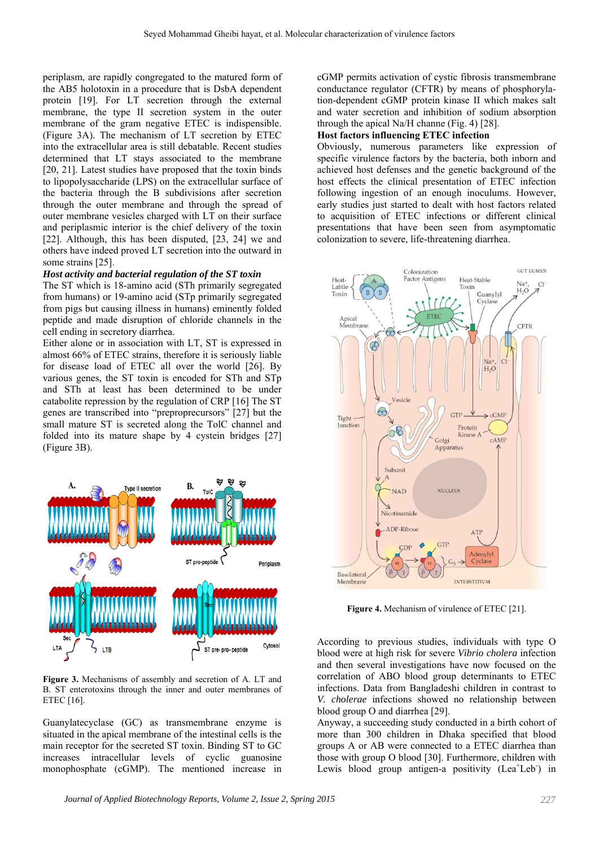periplasm, are rapidly congregated to the matured form of the AB5 holotoxin in a procedure that is DsbA dependent protein [19]. For LT secretion through the external membrane, the type II secretion system in the outer membrane of the gram negative ETEC is indispensible. (Figure 3A). The mechanism of LT secretion by ETEC into the extracellular area is still debatable. Recent studies determined that LT stays associated to the membrane [20, 21]. Latest studies have proposed that the toxin binds to lipopolysaccharide (LPS) on the extracellular surface of the bacteria through the B subdivisions after secretion through the outer membrane and through the spread of outer membrane vesicles charged with LT on their surface and periplasmic interior is the chief delivery of the toxin [22]. Although, this has been disputed, [23, 24] we and others have indeed proved LT secretion into the outward in some strains [25].

#### *Host activity and bacterial regulation of the ST toxin*

The ST which is 18-amino acid (STh primarily segregated from humans) or 19-amino acid (STp primarily segregated from pigs but causing illness in humans) eminently folded peptide and made disruption of chloride channels in the cell ending in secretory diarrhea.

Either alone or in association with LT, ST is expressed in almost 66% of ETEC strains, therefore it is seriously liable for disease load of ETEC all over the world [26]. By various genes, the ST toxin is encoded for STh and STp and STh at least has been determined to be under catabolite repression by the regulation of CRP [16] The ST genes are transcribed into "preproprecursors" [27] but the small mature ST is secreted along the TolC channel and folded into its mature shape by 4 cystein bridges [27] (Figure 3B).



**Figure 3.** Mechanisms of assembly and secretion of A. LT and B. ST enterotoxins through the inner and outer membranes of ETEC [16].

Guanylatecyclase (GC) as transmembrane enzyme is situated in the apical membrane of the intestinal cells is the main receptor for the secreted ST toxin. Binding ST to GC increases intracellular levels of cyclic guanosine monophosphate (cGMP). The mentioned increase in cGMP permits activation of cystic fibrosis transmembrane conductance regulator (CFTR) by means of phosphorylation-dependent cGMP protein kinase II which makes salt and water secretion and inhibition of sodium absorption through the apical Na/H channe (Fig. 4) [28].

#### **Host factors influencing ETEC infection**

Obviously, numerous parameters like expression of specific virulence factors by the bacteria, both inborn and achieved host defenses and the genetic background of the host effects the clinical presentation of ETEC infection following ingestion of an enough inoculums. However, early studies just started to dealt with host factors related to acquisition of ETEC infections or different clinical presentations that have been seen from asymptomatic colonization to severe, life-threatening diarrhea.



**Figure 4.** Mechanism of virulence of ETEC [21].

According to previous studies, individuals with type O blood were at high risk for severe *Vibrio cholera* infection and then several investigations have now focused on the correlation of ABO blood group determinants to ETEC infections. Data from Bangladeshi children in contrast to *V. cholerae* infections showed no relationship between blood group O and diarrhea [29].

Anyway, a succeeding study conducted in a birth cohort of more than 300 children in Dhaka specified that blood groups A or AB were connected to a ETEC diarrhea than those with group O blood [30]. Furthermore, children with Lewis blood group antigen-a positivity (Lea<sup>+</sup>Leb<sup>-</sup>) in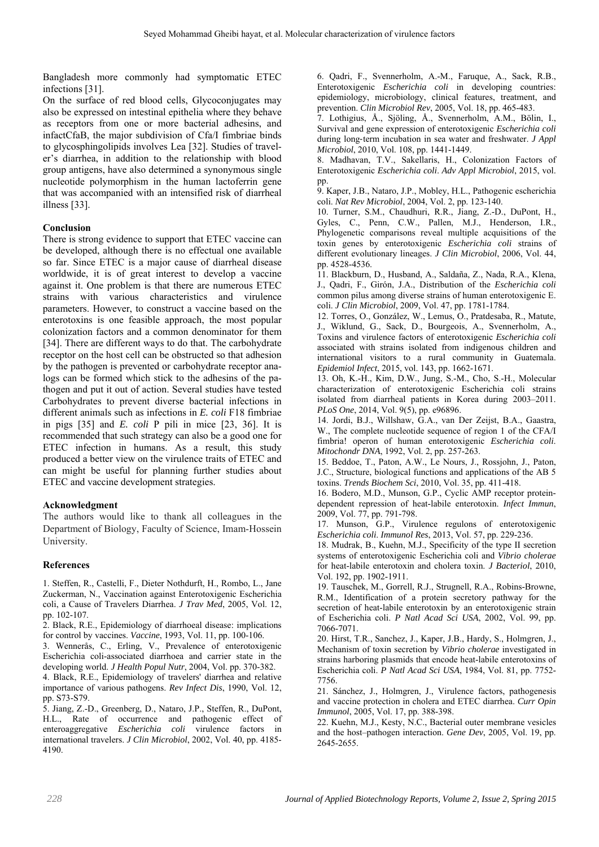Bangladesh more commonly had symptomatic ETEC infections [31].

On the surface of red blood cells, Glycoconjugates may also be expressed on intestinal epithelia where they behave as receptors from one or more bacterial adhesins, and infactCfaB, the major subdivision of Cfa/I fimbriae binds to glycosphingolipids involves Lea [32]. Studies of traveler's diarrhea, in addition to the relationship with blood group antigens, have also determined a synonymous single nucleotide polymorphism in the human lactoferrin gene that was accompanied with an intensified risk of diarrheal illness [33].

## **Conclusion**

There is strong evidence to support that ETEC vaccine can be developed, although there is no effectual one available so far. Since ETEC is a major cause of diarrheal disease worldwide, it is of great interest to develop a vaccine against it. One problem is that there are numerous ETEC strains with various characteristics and virulence parameters. However, to construct a vaccine based on the enterotoxins is one feasible approach, the most popular colonization factors and a common denominator for them [34]. There are different ways to do that. The carbohydrate receptor on the host cell can be obstructed so that adhesion by the pathogen is prevented or carbohydrate receptor analogs can be formed which stick to the adhesins of the pathogen and put it out of action. Several studies have tested Carbohydrates to prevent diverse bacterial infections in different animals such as infections in *E. coli* F18 fimbriae in pigs [35] and *E. coli* P pili in mice [23, 36]. It is recommended that such strategy can also be a good one for ETEC infection in humans. As a result, this study produced a better view on the virulence traits of ETEC and can might be useful for planning further studies about ETEC and vaccine development strategies.

## **Acknowledgment**

The authors would like to thank all colleagues in the Department of Biology, Faculty of Science, Imam-Hossein University.

## **References**

1. Steffen, R., Castelli, F., Dieter Nothdurft, H., Rombo, L., Jane Zuckerman, N., Vaccination against Enterotoxigenic Escherichia coli, a Cause of Travelers Diarrhea. *J Trav Med*, 2005, Vol. 12, pp. 102-107.

2. Black, R.E., Epidemiology of diarrhoeal disease: implications for control by vaccines. *Vaccine*, 1993, Vol. 11, pp. 100-106.

3. Wennerås, C., Erling, V., Prevalence of enterotoxigenic Escherichia coli-associated diarrhoea and carrier state in the developing world. *J Health Popul Nutr*, 2004, Vol. pp. 370-382.

4. Black, R.E., Epidemiology of travelers' diarrhea and relative importance of various pathogens. *Rev Infect Dis*, 1990, Vol. 12, pp. S73-S79.

5. Jiang, Z.-D., Greenberg, D., Nataro, J.P., Steffen, R., DuPont, H.L., Rate of occurrence and pathogenic effect of enteroaggregative *Escherichia coli* virulence factors in international travelers. *J Clin Microbiol*, 2002, Vol. 40, pp. 4185- 4190.

6. Qadri, F., Svennerholm, A.-M., Faruque, A., Sack, R.B., Enterotoxigenic *Escherichia coli* in developing countries: epidemiology, microbiology, clinical features, treatment, and prevention. *Clin Microbiol Rev*, 2005, Vol. 18, pp. 465-483.

7. Lothigius, Å., Sjöling, Å., Svennerholm, A.M., Bölin, I., Survival and gene expression of enterotoxigenic *Escherichia coli* during long‐term incubation in sea water and freshwater. *J Appl Microbiol*, 2010, Vol. 108, pp. 1441-1449.

8. Madhavan, T.V., Sakellaris, H., Colonization Factors of Enterotoxigenic *Escherichia coli*. *Adv Appl Microbiol*, 2015, vol. pp.

9. Kaper, J.B., Nataro, J.P., Mobley, H.L., Pathogenic escherichia coli. *Nat Rev Microbiol*, 2004, Vol. 2, pp. 123-140.

10. Turner, S.M., Chaudhuri, R.R., Jiang, Z.-D., DuPont, H., Gyles, C., Penn, C.W., Pallen, M.J., Henderson, I.R., Phylogenetic comparisons reveal multiple acquisitions of the toxin genes by enterotoxigenic *Escherichia coli* strains of different evolutionary lineages. *J Clin Microbiol*, 2006, Vol. 44, pp. 4528-4536.

11. Blackburn, D., Husband, A., Saldaña, Z., Nada, R.A., Klena, J., Qadri, F., Girón, J.A., Distribution of the *Escherichia coli* common pilus among diverse strains of human enterotoxigenic E. coli. *J Clin Microbiol*, 2009, Vol. 47, pp. 1781-1784.

12. Torres, O., González, W., Lemus, O., Pratdesaba, R., Matute, J., Wiklund, G., Sack, D., Bourgeois, A., Svennerholm, A., Toxins and virulence factors of enterotoxigenic *Escherichia coli* associated with strains isolated from indigenous children and international visitors to a rural community in Guatemala. *Epidemiol Infect*, 2015, vol. 143, pp. 1662-1671.

13. Oh, K.-H., Kim, D.W., Jung, S.-M., Cho, S.-H., Molecular characterization of enterotoxigenic Escherichia coli strains isolated from diarrheal patients in Korea during 2003–2011. *PLoS One*, 2014, Vol. 9(5), pp. e96896.

14. Jordi, B.J., Willshaw, G.A., van Der Zeijst, B.A., Gaastra, W., The complete nucleotide sequence of region 1 of the CFA/I fimbria! operon of human enterotoxigenic *Escherichia coli*. *Mitochondr DNA*, 1992, Vol. 2, pp. 257-263.

15. Beddoe, T., Paton, A.W., Le Nours, J., Rossjohn, J., Paton, J.C., Structure, biological functions and applications of the AB 5 toxins. *Trends Biochem Sci*, 2010, Vol. 35, pp. 411-418.

16. Bodero, M.D., Munson, G.P., Cyclic AMP receptor proteindependent repression of heat-labile enterotoxin. *Infect Immun*, 2009, Vol. 77, pp. 791-798.

17. Munson, G.P., Virulence regulons of enterotoxigenic *Escherichia coli*. *Immunol Res*, 2013, Vol. 57, pp. 229-236.

18. Mudrak, B., Kuehn, M.J., Specificity of the type II secretion systems of enterotoxigenic Escherichia coli and *Vibrio cholerae* for heat-labile enterotoxin and cholera toxin. *J Bacteriol*, 2010, Vol. 192, pp. 1902-1911.

19. Tauschek, M., Gorrell, R.J., Strugnell, R.A., Robins-Browne, R.M., Identification of a protein secretory pathway for the secretion of heat-labile enterotoxin by an enterotoxigenic strain of Escherichia coli. *P Natl Acad Sci USA*, 2002, Vol. 99, pp. 7066-7071.

20. Hirst, T.R., Sanchez, J., Kaper, J.B., Hardy, S., Holmgren, J., Mechanism of toxin secretion by *Vibrio cholerae* investigated in strains harboring plasmids that encode heat-labile enterotoxins of Escherichia coli. *P Natl Acad Sci USA*, 1984, Vol. 81, pp. 7752- 7756.

21. Sánchez, J., Holmgren, J., Virulence factors, pathogenesis and vaccine protection in cholera and ETEC diarrhea. *Curr Opin Immunol*, 2005, Vol. 17, pp. 388-398.

22. Kuehn, M.J., Kesty, N.C., Bacterial outer membrane vesicles and the host–pathogen interaction. *Gene Dev*, 2005, Vol. 19, pp. 2645-2655.